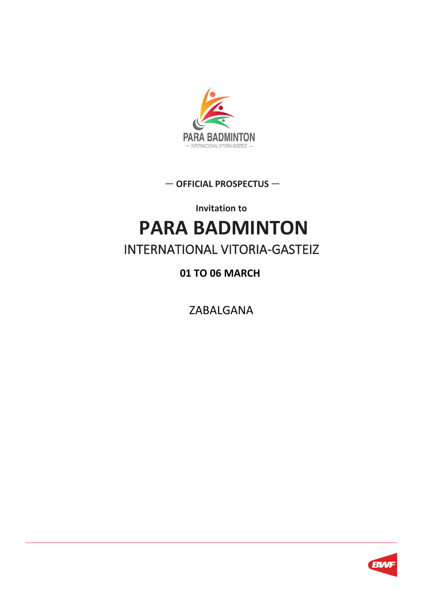

— **OFFICIAL PROSPECTUS** —

**Invitation to**

# **PARA BADMINTON**  INTERNATIONAL VITORIA-GASTEIZ

### **01 TO 06 MARCH**

ZABALGANA

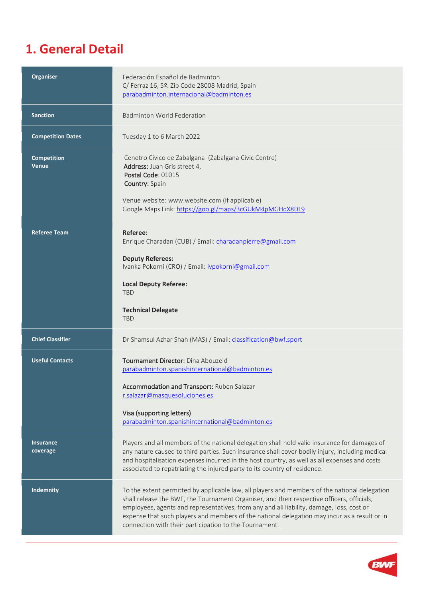### **1. General Detail**

| <b>Organiser</b>             | Federación Español de Badminton<br>C/ Ferraz 16, 5º. Zip Code 28008 Madrid, Spain<br>parabadminton.internacional@badminton.es                                                                                                                                                                                                                                                                                                                     |
|------------------------------|---------------------------------------------------------------------------------------------------------------------------------------------------------------------------------------------------------------------------------------------------------------------------------------------------------------------------------------------------------------------------------------------------------------------------------------------------|
| <b>Sanction</b>              | <b>Badminton World Federation</b>                                                                                                                                                                                                                                                                                                                                                                                                                 |
| <b>Competition Dates</b>     | Tuesday 1 to 6 March 2022                                                                                                                                                                                                                                                                                                                                                                                                                         |
| <b>Competition</b><br>Venue  | Cenetro Civico de Zabalgana (Zabalgana Civic Centre)<br>Address: Juan Gris street 4,<br>Postal Code: 01015<br>Country: Spain<br>Venue website: www.website.com (if applicable)<br>Google Maps Link: https://goo.gl/maps/3cGUkM4pMGHqX8DL9                                                                                                                                                                                                         |
| <b>Referee Team</b>          | Referee:<br>Enrique Charadan (CUB) / Email: charadanpierre@gmail.com<br><b>Deputy Referees:</b><br>Ivanka Pokorni (CRO) / Email: ivpokorni@gmail.com<br><b>Local Deputy Referee:</b><br><b>TBD</b><br><b>Technical Delegate</b><br><b>TBD</b>                                                                                                                                                                                                     |
| <b>Chief Classifier</b>      | Dr Shamsul Azhar Shah (MAS) / Email: classification@bwf.sport                                                                                                                                                                                                                                                                                                                                                                                     |
| <b>Useful Contacts</b>       | Tournament Director: Dina Abouzeid<br>parabadminton.spanishinternational@badminton.es<br>Accommodation and Transport: Ruben Salazar<br>r.salazar@masquesoluciones.es<br>Visa (supporting letters)<br>parabadminton.spanishinternational@badminton.es                                                                                                                                                                                              |
| <b>Insurance</b><br>coverage | Players and all members of the national delegation shall hold valid insurance for damages of<br>any nature caused to third parties. Such insurance shall cover bodily injury, including medical<br>and hospitalisation expenses incurred in the host country, as well as all expenses and costs<br>associated to repatriating the injured party to its country of residence.                                                                      |
| <b>Indemnity</b>             | To the extent permitted by applicable law, all players and members of the national delegation<br>shall release the BWF, the Tournament Organiser, and their respective officers, officials,<br>employees, agents and representatives, from any and all liability, damage, loss, cost or<br>expense that such players and members of the national delegation may incur as a result or in<br>connection with their participation to the Tournament. |

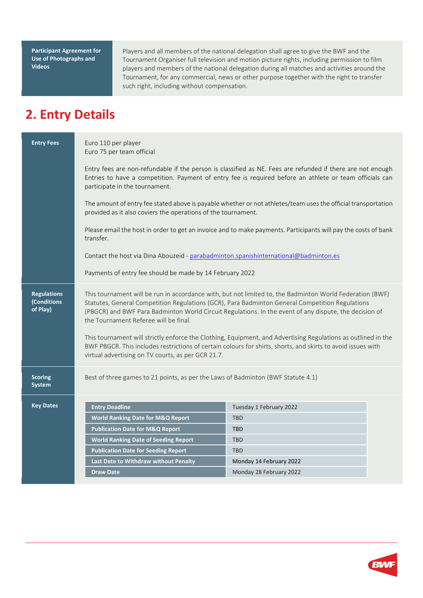**Participant Agreement for Use of Photographs and Videos**

Players and all members of the national delegation shall agree to give the BWF and the Tournament Organiser full television and motion picture rights, including permission to film players and members of the national delegation during all matches and activities around the Tournament, for any commercial, news or other purpose together with the right to transfer such right, including without compensation.

### **2. Entry Details**

| <b>Entry Fees</b>                             | Euro 110 per player<br>Euro 75 per team official                                                                                                                                                                                                        |                                                                                                                                                                                                                                                                                                                                                                                                                                                                                                                                                        |  |
|-----------------------------------------------|---------------------------------------------------------------------------------------------------------------------------------------------------------------------------------------------------------------------------------------------------------|--------------------------------------------------------------------------------------------------------------------------------------------------------------------------------------------------------------------------------------------------------------------------------------------------------------------------------------------------------------------------------------------------------------------------------------------------------------------------------------------------------------------------------------------------------|--|
|                                               | Entry fees are non-refundable if the person is classified as NE. Fees are refunded if there are not enough<br>Entries to have a competition. Payment of entry fee is required before an athlete or team officials can<br>participate in the tournament. |                                                                                                                                                                                                                                                                                                                                                                                                                                                                                                                                                        |  |
|                                               | The amount of entry fee stated above is payable whether or not athletes/team uses the official transportation<br>provided as it also coviers the operations of the tournament.                                                                          |                                                                                                                                                                                                                                                                                                                                                                                                                                                                                                                                                        |  |
|                                               | Please email the host in order to get an invoice and to make payments. Participants will pay the costs of bank<br>transfer.                                                                                                                             |                                                                                                                                                                                                                                                                                                                                                                                                                                                                                                                                                        |  |
|                                               | Contact the host via Dina Abouzeid - parabadminton.spanishinternational@badminton.es                                                                                                                                                                    |                                                                                                                                                                                                                                                                                                                                                                                                                                                                                                                                                        |  |
|                                               | Payments of entry fee should be made by 14 February 2022                                                                                                                                                                                                |                                                                                                                                                                                                                                                                                                                                                                                                                                                                                                                                                        |  |
| <b>Regulations</b><br>(Conditions<br>of Play) | the Tournament Referee will be final.<br>virtual advertising on TV courts, as per GCR 21.7.                                                                                                                                                             | This tournament will be run in accordance with, but not limited to, the Badminton World Federation (BWF)<br>Statutes, General Competition Regulations (GCR), Para Badminton General Competition Regulations<br>(PBGCR) and BWF Para Badminton World Circuit Regulations. In the event of any dispute, the decision of<br>This tournament will strictly enforce the Clothing, Equipment, and Advertising Regulations as outlined in the<br>BWF PBGCR. This includes restrictions of certain colours for shirts, shorts, and skirts to avoid issues with |  |
| <b>Scoring</b><br>System                      | Best of three games to 21 points, as per the Laws of Badminton (BWF Statute 4.1)                                                                                                                                                                        |                                                                                                                                                                                                                                                                                                                                                                                                                                                                                                                                                        |  |
| <b>Key Dates</b>                              | <b>Entry Deadline</b>                                                                                                                                                                                                                                   | Tuesday 1 February 2022                                                                                                                                                                                                                                                                                                                                                                                                                                                                                                                                |  |
|                                               | <b>World Ranking Date for M&amp;Q Report</b>                                                                                                                                                                                                            | <b>TBD</b>                                                                                                                                                                                                                                                                                                                                                                                                                                                                                                                                             |  |
|                                               | <b>Publication Date for M&amp;Q Report</b>                                                                                                                                                                                                              | <b>TBD</b>                                                                                                                                                                                                                                                                                                                                                                                                                                                                                                                                             |  |
|                                               | <b>World Ranking Date of Seeding Report</b>                                                                                                                                                                                                             | <b>TBD</b>                                                                                                                                                                                                                                                                                                                                                                                                                                                                                                                                             |  |
|                                               | <b>Publication Date for Seeding Report</b>                                                                                                                                                                                                              | <b>TBD</b>                                                                                                                                                                                                                                                                                                                                                                                                                                                                                                                                             |  |
|                                               | Last Date to Withdraw without Penalty                                                                                                                                                                                                                   | Monday 14 February 2022                                                                                                                                                                                                                                                                                                                                                                                                                                                                                                                                |  |
|                                               | <b>Draw Date</b>                                                                                                                                                                                                                                        | Monday 28 February 2022                                                                                                                                                                                                                                                                                                                                                                                                                                                                                                                                |  |

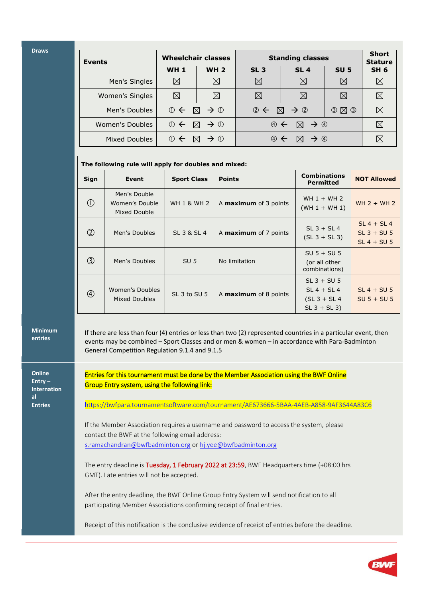**Draws**

| <b>Events</b>   | <b>Wheelchair classes</b> |                                        | <b>Standing classes</b>                            |                                                              |             | <b>Short</b><br><b>Stature</b> |
|-----------------|---------------------------|----------------------------------------|----------------------------------------------------|--------------------------------------------------------------|-------------|--------------------------------|
|                 | <b>WH1</b>                | <b>WH 2</b>                            | SL <sub>3</sub>                                    | <b>SL4</b>                                                   | <b>SU 5</b> | SH <sub>6</sub>                |
| Men's Singles   | ⊠                         | ⊠                                      | $\boxtimes$                                        | $\boxtimes$                                                  | $\boxtimes$ | ⊠                              |
| Women's Singles | ⊠                         | $\boxtimes$                            | $\boxtimes$                                        | $\boxtimes$                                                  | $\times$    | $\boxtimes$                    |
| Men's Doubles   |                           | $0 \leftarrow \boxtimes \rightarrow 0$ | $\oslash \leftarrow \boxtimes \rightarrow \oslash$ |                                                              | O(X)        | ⊠                              |
| Women's Doubles |                           | $0 \leftarrow \boxtimes \rightarrow 0$ |                                                    | $\circledcirc \leftarrow \boxtimes \rightarrow \circledcirc$ |             | ⊠                              |
| Mixed Doubles   | $\circledcirc$            | $\rightarrow$ 0<br>$\bowtie$           | $\oplus$                                           | $\rightarrow$ 4<br>$\bowtie$                                 |             |                                |

|                | The following rule will apply for doubles and mixed: |                        |                              |                                                                    |                                                 |
|----------------|------------------------------------------------------|------------------------|------------------------------|--------------------------------------------------------------------|-------------------------------------------------|
| Sign           | Event                                                | <b>Sport Class</b>     | <b>Points</b>                | <b>Combinations</b><br><b>Permitted</b>                            | <b>NOT Allowed</b>                              |
| $\circled{1}$  | Men's Double<br>Women's Double<br>Mixed Double       | <b>WH 1 &amp; WH 2</b> | A <b>maximum</b> of 3 points | WH $1 + WH$ 2<br>$(WH 1 + WH 1)$                                   | $WH 2 + WH 2$                                   |
| $^{\circledR}$ | Men's Doubles                                        | SL 3 & SL 4            | A <b>maximum</b> of 7 points | $SL$ 3 + $SL$ 4<br>$(SL 3 + SL 3)$                                 | $SL 4 + SL 4$<br>$SL$ 3 + SU 5<br>$SL 4 + SU 5$ |
| $\circled{3}$  | Men's Doubles                                        | SU <sub>5</sub>        | No limitation                | $SU 5 + SU 5$<br>(or all other<br>combinations)                    |                                                 |
| $\circled{4}$  | Women's Doubles<br>Mixed Doubles                     | SL 3 to SU 5           | A <b>maximum</b> of 8 points | $SL$ 3 + SU 5<br>$SL 4 + SL 4$<br>$(SL 3 + SL 4)$<br>$SL_3 + SL_3$ | $SL 4 + SU 5$<br>$SU 5 + SU 5$                  |

**Minimum entries**

**Online Entry – Internation al Entries**

If there are less than four (4) entries or less than two (2) represented countries in a particular event, then events may be combined – Sport Classes and or men & women – in accordance with Para-Badminton General Competition Regulation 9.1.4 and 9.1.5

Entries for this tournament must be done by the Member Association using the BWF Online Group Entry system, using the following link:

<https://bwfpara.tournamentsoftware.com/tournament/AE673666-5BAA-4AEB-A858-9AF3644A83C6>

If the Member Association requires a username and password to access the system, please contact the BWF at the following email address: [s.ramachandran@bwfbadminton.org](mailto:s.ramachandran@bwfbadminton.org) o[r hj.yee@bwfbadminton.org](mailto:hj.yee@bwfbadminton.org)

The entry deadline is Tuesday, 1 February 2022 at 23:59, BWF Headquarters time (+08:00 hrs GMT). Late entries will not be accepted.

After the entry deadline, the BWF Online Group Entry System will send notification to all participating Member Associations confirming receipt of final entries.

Receipt of this notification is the conclusive evidence of receipt of entries before the deadline.

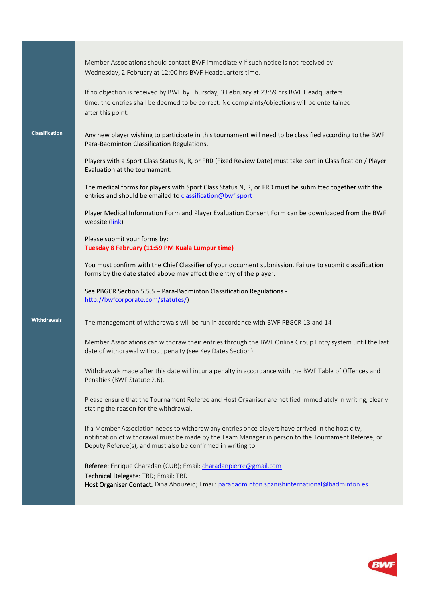|                       | Member Associations should contact BWF immediately if such notice is not received by<br>Wednesday, 2 February at 12:00 hrs BWF Headquarters time.<br>If no objection is received by BWF by Thursday, 3 February at 23:59 hrs BWF Headquarters<br>time, the entries shall be deemed to be correct. No complaints/objections will be entertained<br>after this point. |
|-----------------------|---------------------------------------------------------------------------------------------------------------------------------------------------------------------------------------------------------------------------------------------------------------------------------------------------------------------------------------------------------------------|
| <b>Classification</b> | Any new player wishing to participate in this tournament will need to be classified according to the BWF<br>Para-Badminton Classification Regulations.                                                                                                                                                                                                              |
|                       | Players with a Sport Class Status N, R, or FRD (Fixed Review Date) must take part in Classification / Player<br>Evaluation at the tournament.                                                                                                                                                                                                                       |
|                       | The medical forms for players with Sport Class Status N, R, or FRD must be submitted together with the<br>entries and should be emailed to classification@bwf.sport                                                                                                                                                                                                 |
|                       | Player Medical Information Form and Player Evaluation Consent Form can be downloaded from the BWF<br>website (link)                                                                                                                                                                                                                                                 |
|                       | Please submit your forms by:<br>Tuesday 8 February (11:59 PM Kuala Lumpur time)                                                                                                                                                                                                                                                                                     |
|                       | You must confirm with the Chief Classifier of your document submission. Failure to submit classification<br>forms by the date stated above may affect the entry of the player.                                                                                                                                                                                      |
|                       | See PBGCR Section 5.5.5 - Para-Badminton Classification Regulations -<br>http://bwfcorporate.com/statutes/)                                                                                                                                                                                                                                                         |
| <b>Withdrawals</b>    | The management of withdrawals will be run in accordance with BWF PBGCR 13 and 14                                                                                                                                                                                                                                                                                    |
|                       | Member Associations can withdraw their entries through the BWF Online Group Entry system until the last<br>date of withdrawal without penalty (see Key Dates Section).                                                                                                                                                                                              |
|                       | Withdrawals made after this date will incur a penalty in accordance with the BWF Table of Offences and<br>Penalties (BWF Statute 2.6).                                                                                                                                                                                                                              |
|                       | Please ensure that the Tournament Referee and Host Organiser are notified immediately in writing, clearly<br>stating the reason for the withdrawal.                                                                                                                                                                                                                 |
|                       | If a Member Association needs to withdraw any entries once players have arrived in the host city,<br>notification of withdrawal must be made by the Team Manager in person to the Tournament Referee, or<br>Deputy Referee(s), and must also be confirmed in writing to:                                                                                            |
|                       | Referee: Enrique Charadan (CUB); Email: charadanpierre@gmail.com<br>Technical Delegate: TBD; Email: TBD                                                                                                                                                                                                                                                             |
|                       | Host Organiser Contact: Dina Abouzeid; Email: parabadminton.spanishinternational@badminton.es                                                                                                                                                                                                                                                                       |

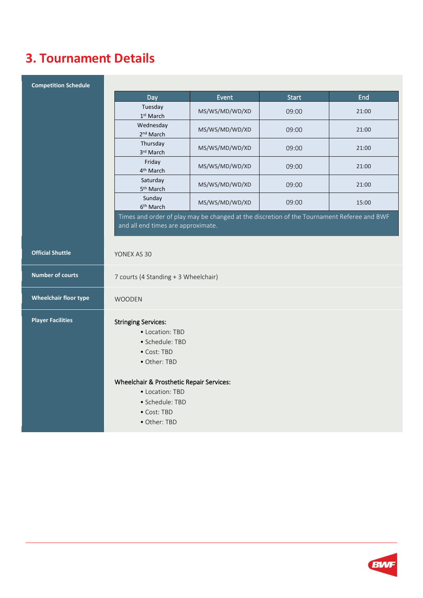## **3. Tournament Details**

| <b>Competition Schedule</b>  |                                                                                                                                  |                |              |       |
|------------------------------|----------------------------------------------------------------------------------------------------------------------------------|----------------|--------------|-------|
|                              | Day                                                                                                                              | Event          | <b>Start</b> | End   |
|                              | Tuesday<br>1st March                                                                                                             | MS/WS/MD/WD/XD | 09:00        | 21:00 |
|                              | Wednesday<br>2 <sup>nd</sup> March                                                                                               | MS/WS/MD/WD/XD | 09:00        | 21:00 |
|                              | Thursday<br>3rd March                                                                                                            | MS/WS/MD/WD/XD | 09:00        | 21:00 |
|                              | Friday<br>4 <sup>th</sup> March                                                                                                  | MS/WS/MD/WD/XD | 09:00        | 21:00 |
|                              | Saturday<br>5 <sup>th</sup> March                                                                                                | MS/WS/MD/WD/XD | 09:00        | 21:00 |
|                              | Sunday<br>6 <sup>th</sup> March                                                                                                  | MS/WS/MD/WD/XD | 09:00        | 15:00 |
|                              | Times and order of play may be changed at the discretion of the Tournament Referee and BWF<br>and all end times are approximate. |                |              |       |
| <b>Official Shuttle</b>      | YONEX AS 30                                                                                                                      |                |              |       |
| <b>Number of courts</b>      | 7 courts (4 Standing + 3 Wheelchair)                                                                                             |                |              |       |
| <b>Wheelchair floor type</b> | WOODEN                                                                                                                           |                |              |       |
| <b>Player Facilities</b>     | <b>Stringing Services:</b><br>• Location: TBD<br>· Schedule: TBD<br>• Cost: TBD<br>• Other: TBD                                  |                |              |       |
|                              | Wheelchair & Prosthetic Repair Services:<br>• Location: TBD                                                                      |                |              |       |
|                              | · Schedule: TBD                                                                                                                  |                |              |       |
|                              | • Cost: TBD                                                                                                                      |                |              |       |
|                              | • Other: TBD                                                                                                                     |                |              |       |

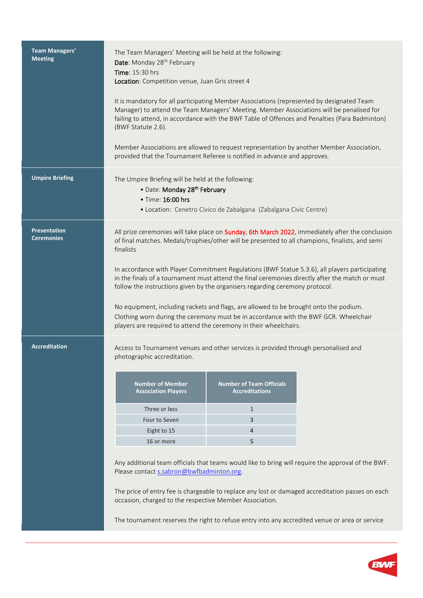| Team Managers'<br><b>Meeting</b>         | The Team Managers' Meeting will be held at the following:<br>Date: Monday 28 <sup>th</sup> February<br>Time: 15:30 hrs<br>Location: Competition venue, Juan Gris street 4<br>It is mandatory for all participating Member Associations (represented by designated Team<br>Manager) to attend the Team Managers' Meeting. Member Associations will be penalised for<br>failing to attend, in accordance with the BWF Table of Offences and Penalties (Para Badminton)<br>(BWF Statute 2.6).<br>Member Associations are allowed to request representation by another Member Association,<br>provided that the Tournament Referee is notified in advance and approves.                                                                                         |                                                                                         |                                                                                                                                                                                                        |
|------------------------------------------|-------------------------------------------------------------------------------------------------------------------------------------------------------------------------------------------------------------------------------------------------------------------------------------------------------------------------------------------------------------------------------------------------------------------------------------------------------------------------------------------------------------------------------------------------------------------------------------------------------------------------------------------------------------------------------------------------------------------------------------------------------------|-----------------------------------------------------------------------------------------|--------------------------------------------------------------------------------------------------------------------------------------------------------------------------------------------------------|
| <b>Umpire Briefing</b>                   | The Umpire Briefing will be held at the following:<br>· Date: Monday 28th February<br>• Time: 16:00 hrs                                                                                                                                                                                                                                                                                                                                                                                                                                                                                                                                                                                                                                                     | • Location: Cenetro Civico de Zabalgana (Zabalgana Civic Centre)                        |                                                                                                                                                                                                        |
| <b>Presentation</b><br><b>Ceremonies</b> | All prize ceremonies will take place on Sunday, 6th March 2022, immediately after the conclusion<br>of final matches. Medals/trophies/other will be presented to all champions, finalists, and semi<br>finalists<br>In accordance with Player Commitment Regulations (BWF Statue 5.3.6), all players participating<br>in the finals of a tournament must attend the final ceremonies directly after the match or must<br>follow the instructions given by the organisers regarding ceremony protocol.<br>No equipment, including rackets and flags, are allowed to be brought onto the podium.<br>Clothing worn during the ceremony must be in accordance with the BWF GCR. Wheelchair<br>players are required to attend the ceremony in their wheelchairs. |                                                                                         |                                                                                                                                                                                                        |
| <b>Accreditation</b>                     | Access to Tournament venues and other services is provided through personalised and<br>photographic accreditation.<br><b>Number of Member</b><br><b>Association Players</b><br>Three or less<br>Four to Seven<br>Eight to 15<br>16 or more<br>Please contact s.sabron@bwfbadminton.org.<br>occasion, charged to the respective Member Association.<br>The tournament reserves the right to refuse entry into any accredited venue or area or service                                                                                                                                                                                                                                                                                                        | <b>Number of Team Officials</b><br><b>Accreditations</b><br>$\mathbf{1}$<br>3<br>4<br>5 | Any additional team officials that teams would like to bring will require the approval of the BWF.<br>The price of entry fee is chargeable to replace any lost or damaged accreditation passes on each |

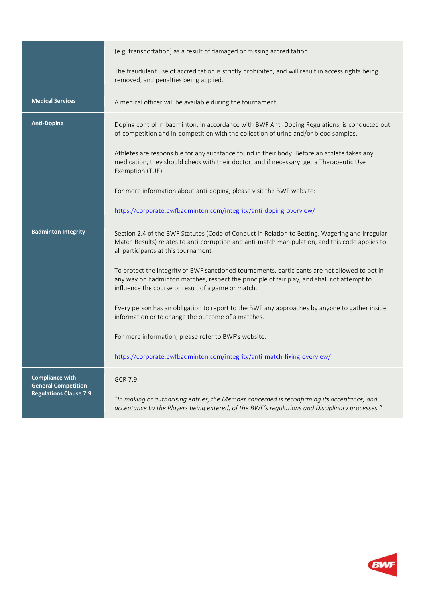|                                                                                       | (e.g. transportation) as a result of damaged or missing accreditation.                                                                                                                                                                             |
|---------------------------------------------------------------------------------------|----------------------------------------------------------------------------------------------------------------------------------------------------------------------------------------------------------------------------------------------------|
|                                                                                       | The fraudulent use of accreditation is strictly prohibited, and will result in access rights being<br>removed, and penalties being applied.                                                                                                        |
| <b>Medical Services</b>                                                               | A medical officer will be available during the tournament.                                                                                                                                                                                         |
| <b>Anti-Doping</b>                                                                    | Doping control in badminton, in accordance with BWF Anti-Doping Regulations, is conducted out-<br>of-competition and in-competition with the collection of urine and/or blood samples.                                                             |
|                                                                                       | Athletes are responsible for any substance found in their body. Before an athlete takes any<br>medication, they should check with their doctor, and if necessary, get a Therapeutic Use<br>Exemption (TUE).                                        |
|                                                                                       | For more information about anti-doping, please visit the BWF website:                                                                                                                                                                              |
|                                                                                       | https://corporate.bwfbadminton.com/integrity/anti-doping-overview/                                                                                                                                                                                 |
| <b>Badminton Integrity</b>                                                            | Section 2.4 of the BWF Statutes (Code of Conduct in Relation to Betting, Wagering and Irregular<br>Match Results) relates to anti-corruption and anti-match manipulation, and this code applies to<br>all participants at this tournament.         |
|                                                                                       | To protect the integrity of BWF sanctioned tournaments, participants are not allowed to bet in<br>any way on badminton matches, respect the principle of fair play, and shall not attempt to<br>influence the course or result of a game or match. |
|                                                                                       | Every person has an obligation to report to the BWF any approaches by anyone to gather inside<br>information or to change the outcome of a matches.                                                                                                |
|                                                                                       | For more information, please refer to BWF's website:                                                                                                                                                                                               |
|                                                                                       | https://corporate.bwfbadminton.com/integrity/anti-match-fixing-overview/                                                                                                                                                                           |
| <b>Compliance with</b><br><b>General Competition</b><br><b>Regulations Clause 7.9</b> | GCR 7.9:                                                                                                                                                                                                                                           |
|                                                                                       | "In making or authorising entries, the Member concerned is reconfirming its acceptance, and<br>acceptance by the Players being entered, of the BWF's regulations and Disciplinary processes."                                                      |

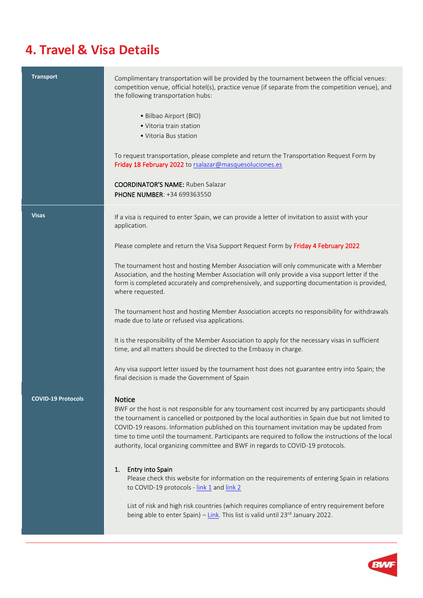### **4. Travel & Visa Details**

| <b>Transport</b>          | Complimentary transportation will be provided by the tournament between the official venues:<br>competition venue, official hotel(s), practice venue (if separate from the competition venue), and<br>the following transportation hubs:<br>• Bilbao Airport (BIO)<br>• Vitoria train station<br>• Vitoria Bus station<br>To request transportation, please complete and return the Transportation Request Form by<br>Friday 18 February 2022 to rsalazar@masquesoluciones.es<br><b>COORDINATOR'S NAME:</b> Ruben Salazar<br>PHONE NUMBER: +34 699363550                                                                                                                                                                                                                                                                                                                                                                                                                                              |
|---------------------------|-------------------------------------------------------------------------------------------------------------------------------------------------------------------------------------------------------------------------------------------------------------------------------------------------------------------------------------------------------------------------------------------------------------------------------------------------------------------------------------------------------------------------------------------------------------------------------------------------------------------------------------------------------------------------------------------------------------------------------------------------------------------------------------------------------------------------------------------------------------------------------------------------------------------------------------------------------------------------------------------------------|
| <b>Visas</b>              | If a visa is required to enter Spain, we can provide a letter of invitation to assist with your<br>application.<br>Please complete and return the Visa Support Request Form by Friday 4 February 2022<br>The tournament host and hosting Member Association will only communicate with a Member<br>Association, and the hosting Member Association will only provide a visa support letter if the<br>form is completed accurately and comprehensively, and supporting documentation is provided,<br>where requested.<br>The tournament host and hosting Member Association accepts no responsibility for withdrawals<br>made due to late or refused visa applications.<br>It is the responsibility of the Member Association to apply for the necessary visas in sufficient<br>time, and all matters should be directed to the Embassy in charge.<br>Any visa support letter issued by the tournament host does not guarantee entry into Spain; the<br>final decision is made the Government of Spain |
| <b>COVID-19 Protocols</b> | Notice<br>BWF or the host is not responsible for any tournament cost incurred by any participants should<br>the tournament is cancelled or postponed by the local authorities in Spain due but not limited to<br>COVID-19 reasons. Information published on this tournament invitation may be updated from<br>time to time until the tournament. Participants are required to follow the instructions of the local<br>authority, local organizing committee and BWF in regards to COVID-19 protocols.<br><b>Entry into Spain</b><br>1.<br>Please check this website for information on the requirements of entering Spain in relations<br>to COVID-19 protocols - link 1 and link 2<br>List of risk and high risk countries (which requires compliance of entry requirement before<br>being able to enter Spain) - Link. This list is valid until $23^{rd}$ January 2022.                                                                                                                             |

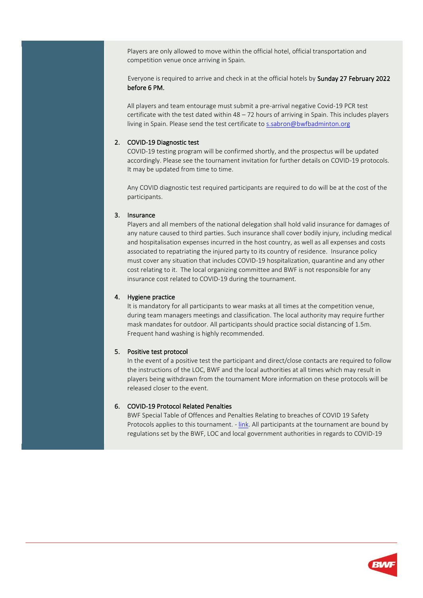Players are only allowed to move within the official hotel, official transportation and competition venue once arriving in Spain.

 Everyone is required to arrive and check in at the official hotels by Sunday 27 February 2022 before 6 PM.

All players and team entourage must submit a pre-arrival negative Covid-19 PCR test certificate with the test dated within  $48 - 72$  hours of arriving in Spain. This includes players living in Spain. Please send the test certificate to [s.sabron@bwfbadminton.org](mailto:s.sabron@bwfbadminton.org)

#### 2. COVID-19 Diagnostic test

COVID-19 testing program will be confirmed shortly, and the prospectus will be updated accordingly. Please see the tournament invitation for further details on COVID-19 protocols. It may be updated from time to time.

Any COVID diagnostic test required participants are required to do will be at the cost of the participants.

#### 3. Insurance

Players and all members of the national delegation shall hold valid insurance for damages of any nature caused to third parties. Such insurance shall cover bodily injury, including medical and hospitalisation expenses incurred in the host country, as well as all expenses and costs associated to repatriating the injured party to its country of residence. Insurance policy must cover any situation that includes COVID-19 hospitalization, quarantine and any other cost relating to it. The local organizing committee and BWF is not responsible for any insurance cost related to COVID-19 during the tournament.

#### 4. Hygiene practice

It is mandatory for all participants to wear masks at all times at the competition venue, during team managers meetings and classification. The local authority may require further mask mandates for outdoor. All participants should practice social distancing of 1.5m. Frequent hand washing is highly recommended.

#### 5. Positive test protocol

In the event of a positive test the participant and direct/close contacts are required to follow the instructions of the LOC, BWF and the local authorities at all times which may result in players being withdrawn from the tournament More information on these protocols will be released closer to the event.

#### 6. COVID-19 Protocol Related Penalties

BWF Special Table of Offences and Penalties Relating to breaches of COVID 19 Safety Protocols applies to this tournament. - [link.](https://extranet.bwfbadminton.com/docs/document-system/81/1466/1468/Section%202.5.1.%20Special%20Table%20of%20Offences%20and%20Penalties%20Relating%20to%20breaches%20of%20COVID19%20Safety%20Protocols.pdf) All participants at the tournament are bound by regulations set by the BWF, LOC and local government authorities in regards to COVID-19

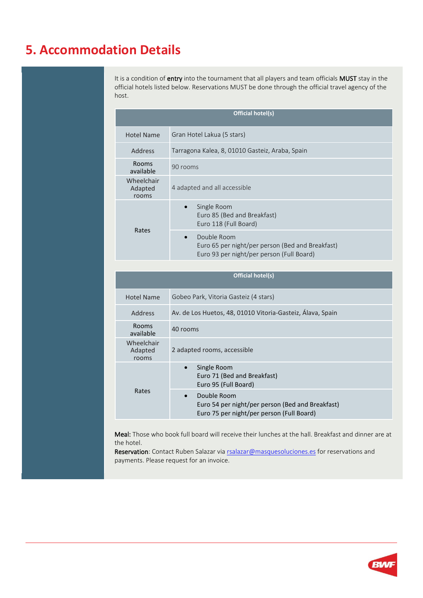### **5. Accommodation Details**

It is a condition of entry into the tournament that all players and team officials MUST stay in the official hotels listed below. Reservations MUST be done through the official travel agency of the host.

| Official hotel(s)              |                                                                                                              |  |
|--------------------------------|--------------------------------------------------------------------------------------------------------------|--|
| <b>Hotel Name</b>              | Gran Hotel Lakua (5 stars)                                                                                   |  |
| Address                        | Tarragona Kalea, 8, 01010 Gasteiz, Araba, Spain                                                              |  |
| <b>Rooms</b><br>available      | 90 rooms                                                                                                     |  |
| Wheelchair<br>Adapted<br>rooms | 4 adapted and all accessible                                                                                 |  |
| Rates                          | Single Room<br>$\bullet$<br>Euro 85 (Bed and Breakfast)<br>Euro 118 (Full Board)                             |  |
|                                | Double Room<br>Euro 65 per night/per person (Bed and Breakfast)<br>Euro 93 per night/per person (Full Board) |  |

| <b>Official hotel(s)</b>       |                                                                                                                           |  |
|--------------------------------|---------------------------------------------------------------------------------------------------------------------------|--|
| <b>Hotel Name</b>              | Gobeo Park, Vitoria Gasteiz (4 stars)                                                                                     |  |
| Address                        | Av. de Los Huetos, 48, 01010 Vitoria-Gasteiz, Álava, Spain                                                                |  |
| Rooms<br>available             | 40 rooms                                                                                                                  |  |
| Wheelchair<br>Adapted<br>rooms | 2 adapted rooms, accessible                                                                                               |  |
| Rates                          | Single Room<br>$\bullet$<br>Euro 71 (Bed and Breakfast)<br>Euro 95 (Full Board)                                           |  |
|                                | Double Room<br>$\bullet$<br>Euro 54 per night/per person (Bed and Breakfast)<br>Euro 75 per night/per person (Full Board) |  |

Meal: Those who book full board will receive their lunches at the hall. Breakfast and dinner are at the hotel.

Reservation: Contact Ruben Salazar vi[a rsalazar@masquesoluciones.es](mailto:rsalazar@masquesoluciones.es) for reservations and payments. Please request for an invoice.